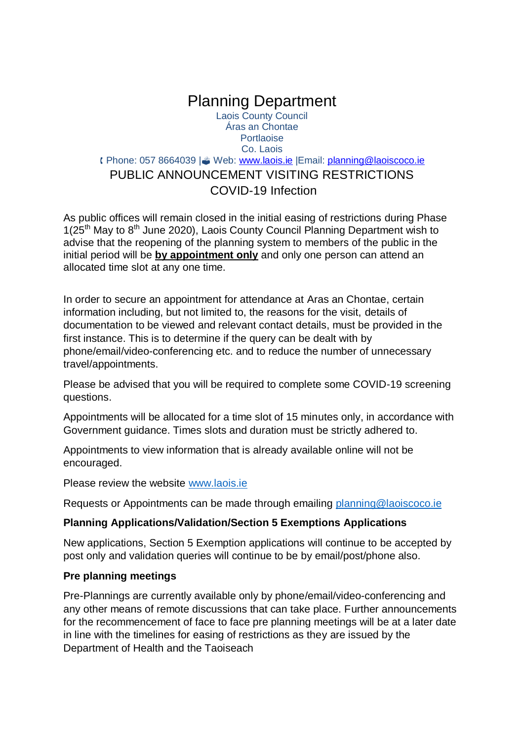## Planning Department Laois County Council Áras an Chontae **Portlaoise** Co. Laois **(Phone: 057 8664039 | Web: [www.laois.ie](https://owa.laoiscoco.ie/owa/redir.aspx?C=bHbbxcO_lxPvruKoFU7duH0bB0dycMDA-Tzsl3hYmYqkmqJeIvvXCA..&URL=http%3a%2f%2fwww.offaly.ie%2f) | Email: [planning@laoiscoco.ie](https://owa.laoiscoco.ie/owa/redir.aspx?C=W3YvsoBbDNPVt8K5K8N3eOaW_It7exLYct0KoRR0SUzA_KReIvvXCA..&URL=mailto%3aplanning%40laoiscoco.ie)** PUBLIC ANNOUNCEMENT VISITING RESTRICTIONS COVID-19 Infection

As public offices will remain closed in the initial easing of restrictions during Phase 1(25th May to 8th June 2020), Laois County Council Planning Department wish to advise that the reopening of the planning system to members of the public in the initial period will be **by appointment only** and only one person can attend an allocated time slot at any one time.

In order to secure an appointment for attendance at Aras an Chontae, certain information including, but not limited to, the reasons for the visit, details of documentation to be viewed and relevant contact details, must be provided in the first instance. This is to determine if the query can be dealt with by phone/email/video-conferencing etc. and to reduce the number of unnecessary travel/appointments.

Please be advised that you will be required to complete some COVID-19 screening questions.

Appointments will be allocated for a time slot of 15 minutes only, in accordance with Government guidance. Times slots and duration must be strictly adhered to.

Appointments to view information that is already available online will not be encouraged.

Please review the website [www.laois.ie](http://www.laois.ie/)

Requests or Appointments can be made through emailing [planning@laoiscoco.ie](mailto:planning@laoiscoco.ie)

### **Planning Applications/Validation/Section 5 Exemptions Applications**

New applications, Section 5 Exemption applications will continue to be accepted by post only and validation queries will continue to be by email/post/phone also.

### **Pre planning meetings**

Pre-Plannings are currently available only by phone/email/video-conferencing and any other means of remote discussions that can take place. Further announcements for the recommencement of face to face pre planning meetings will be at a later date in line with the timelines for easing of restrictions as they are issued by the Department of Health and the Taoiseach